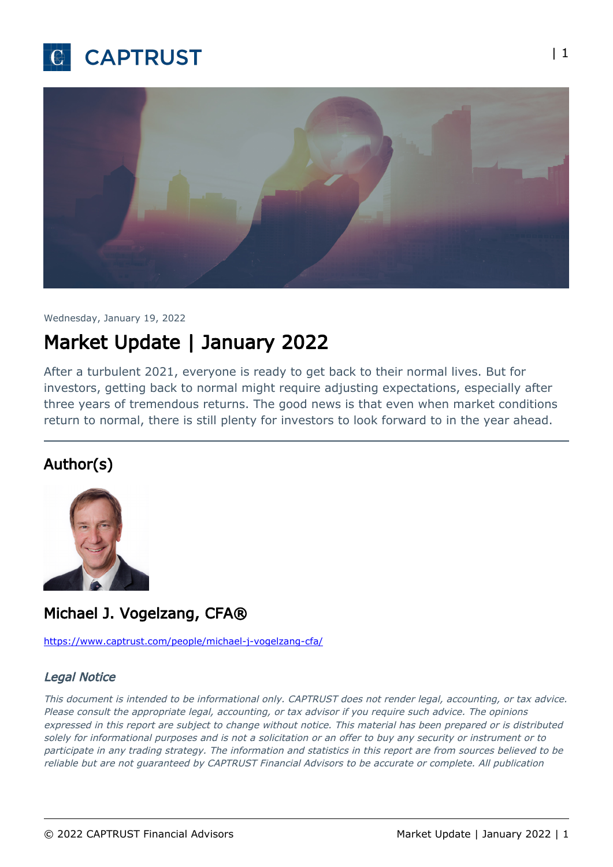



Wednesday, January 19, 2022

## Market Update | January 2022

After a turbulent 2021, everyone is ready to get back to their normal lives. But for investors, getting back to normal might require adjusting expectations, especially after three years of tremendous returns. The good news is that even when market conditions return to normal, there is still plenty for investors to look forward to in the year ahead.

## Author(s)



## Michael J. Vogelzang, CFA®

<https://www.captrust.com/people/michael-j-vogelzang-cfa/>

## Legal Notice

This document is intended to be informational only. CAPTRUST does not render legal, accounting, or tax advice. Please consult the appropriate legal, accounting, or tax advisor if you require such advice. The opinions expressed in this report are subject to change without notice. This material has been prepared or is distributed solely for informational purposes and is not a solicitation or an offer to buy any security or instrument or to participate in any trading strategy. The information and statistics in this report are from sources believed to be reliable but are not guaranteed by CAPTRUST Financial Advisors to be accurate or complete. All publication